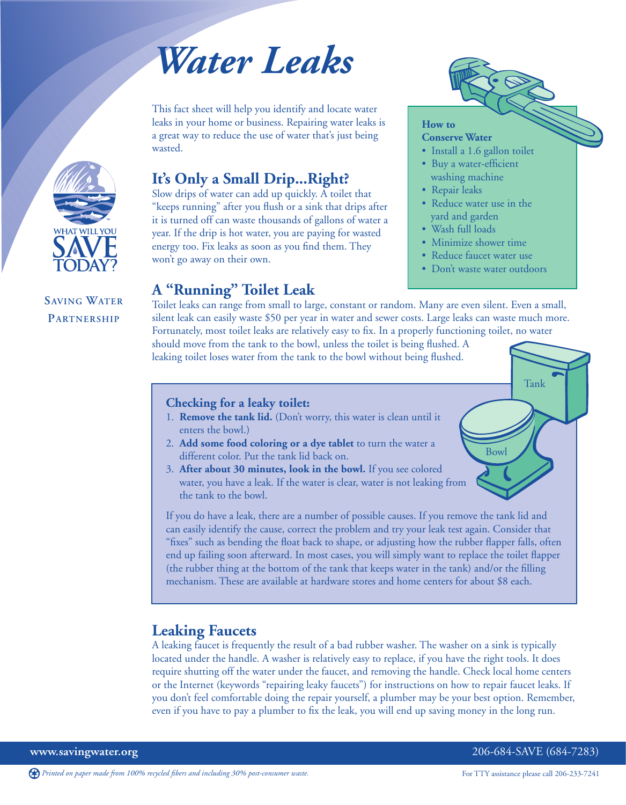# *Water Leaks*

This fact sheet will help you identify and locate water leaks in your home or business. Repairing water leaks is a great way to reduce the use of water that's just being wasted.

# **It's Only a Small Drip...Right?**

Slow drips of water can add up quickly. A toilet that "keeps running" after you flush or a sink that drips after it is turned off can waste thousands of gallons of water a year. If the drip is hot water, you are paying for wasted energy too. Fix leaks as soon as you find them. They won't go away on their own.

# **A "Running" Toilet Leak**

Toilet leaks can range from small to large, constant or random. Many are even silent. Even a small, silent leak can easily waste \$50 per year in water and sewer costs. Large leaks can waste much more. Fortunately, most toilet leaks are relatively easy to fix. In a properly functioning toilet, no water

should move from the tank to the bowl, unless the toilet is being flushed. A leaking toilet loses water from the tank to the bowl without being flushed.

### **Checking for a leaky toilet:**

- 1. **Remove the tank lid.** (Don't worry, this water is clean until it enters the bowl.)
- 2. **Add some food coloring or a dye tablet** to turn the water a different color. Put the tank lid back on.
- 3. **After about 30 minutes, look in the bowl.** If you see colored water, you have a leak. If the water is clear, water is not leaking from the tank to the bowl.

If you do have a leak, there are a number of possible causes. If you remove the tank lid and can easily identify the cause, correct the problem and try your leak test again. Consider that "fixes" such as bending the float back to shape, or adjusting how the rubber flapper falls, often end up failing soon afterward. In most cases, you will simply want to replace the toilet flapper (the rubber thing at the bottom of the tank that keeps water in the tank) and/or the filling mechanism. These are available at hardware stores and home centers for about \$8 each.

# **Leaking Faucets**

A leaking faucet is frequently the result of a bad rubber washer. The washer on a sink is typically located under the handle. A washer is relatively easy to replace, if you have the right tools. It does require shutting off the water under the faucet, and removing the handle. Check local home centers or the Internet (keywords "repairing leaky faucets") for instructions on how to repair faucet leaks. If you don't feel comfortable doing the repair yourself, a plumber may be your best option. Remember, even if you have to pay a plumber to fix the leak, you will end up saving money in the long run.

```
www.savingwater.org 206-684-SAVE (684-7283)
```
Tank

Bowl

*Printed on paper made from 100% recycled fibers and including 30% post-consumer waste.* For TTY assistance please call 206-233-7241



# **SAVING WATER PARTNERSHIP**



**How to**

**Conserve Water**

• Install a 1.6 gallon toilet • Buy a water-efficient washing machine • Repair leaks

• Reduce water use in the yard and garden • Wash full loads

• Minimize shower time • Reduce faucet water use • Don't waste water outdoors